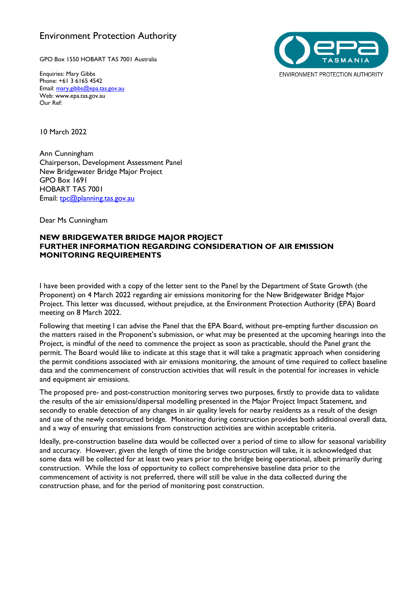## Environment Protection Authority

GPO Box 1550 HOBART TAS 7001 Australia

Enquiries: Mary Gibbs Phone: +61 3 6165 4542 Email: [mary.gibbs@epa.tas.gov.au](mailto:mary.gibbs@epa.tas.gov.au) Web: www.epa.tas.gov.au Our Ref:



10 March 2022

Ann Cunningham Chairperson, Development Assessment Panel New Bridgewater Bridge Major Project GPO Box 1691 HOBART TAS 7001 Email: [tpc@planning.tas.gov.au](mailto:tpc@planning.tas.gov.au)

Dear Ms Cunningham

## **NEW BRIDGEWATER BRIDGE MAJOR PROJECT FURTHER INFORMATION REGARDING CONSIDERATION OF AIR EMISSION MONITORING REQUIREMENTS**

I have been provided with a copy of the letter sent to the Panel by the Department of State Growth (the Proponent) on 4 March 2022 regarding air emissions monitoring for the New Bridgewater Bridge Major Project. This letter was discussed, without prejudice, at the Environment Protection Authority (EPA) Board meeting on 8 March 2022.

Following that meeting I can advise the Panel that the EPA Board, without pre-empting further discussion on the matters raised in the Proponent's submission, or what may be presented at the upcoming hearings into the Project, is mindful of the need to commence the project as soon as practicable, should the Panel grant the permit. The Board would like to indicate at this stage that it will take a pragmatic approach when considering the permit conditions associated with air emissions monitoring, the amount of time required to collect baseline data and the commencement of construction activities that will result in the potential for increases in vehicle and equipment air emissions.

The proposed pre- and post-construction monitoring serves two purposes, firstly to provide data to validate the results of the air emissions/dispersal modelling presented in the Major Project Impact Statement, and secondly to enable detection of any changes in air quality levels for nearby residents as a result of the design and use of the newly constructed bridge. Monitoring during construction provides both additional overall data, and a way of ensuring that emissions from construction activities are within acceptable criteria.

Ideally, pre-construction baseline data would be collected over a period of time to allow for seasonal variability and accuracy. However, given the length of time the bridge construction will take, it is acknowledged that some data will be collected for at least two years prior to the bridge being operational, albeit primarily during construction. While the loss of opportunity to collect comprehensive baseline data prior to the commencement of activity is not preferred, there will still be value in the data collected during the construction phase, and for the period of monitoring post construction.